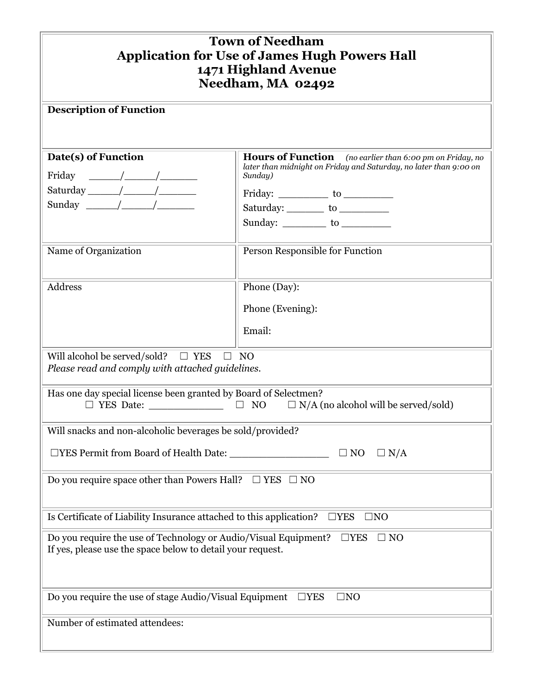| <b>Town of Needham</b><br><b>Application for Use of James Hugh Powers Hall</b><br>1471 Highland Avenue<br>Needham, MA 02492                                                                                                                                                                                                                                                                                                                                               |                                                                                                                                                                                                                                                                   |
|---------------------------------------------------------------------------------------------------------------------------------------------------------------------------------------------------------------------------------------------------------------------------------------------------------------------------------------------------------------------------------------------------------------------------------------------------------------------------|-------------------------------------------------------------------------------------------------------------------------------------------------------------------------------------------------------------------------------------------------------------------|
| <b>Description of Function</b>                                                                                                                                                                                                                                                                                                                                                                                                                                            |                                                                                                                                                                                                                                                                   |
| Date(s) of Function<br>Friday<br>$\frac{1}{\sqrt{1-\frac{1}{2}}}\left( \frac{1}{\sqrt{1-\frac{1}{2}}}\right)$<br>$Saturally \begin{picture}(150,10) \put(0,0){\line(1,0){10}} \put(15,0){\line(1,0){10}} \put(15,0){\line(1,0){10}} \put(15,0){\line(1,0){10}} \put(15,0){\line(1,0){10}} \put(15,0){\line(1,0){10}} \put(15,0){\line(1,0){10}} \put(15,0){\line(1,0){10}} \put(15,0){\line(1,0){10}} \put(15,0){\line(1,0){10}} \put(15,0){\line(1,0){10}} \put(15,0){\$ | Hours of Function (no earlier than 6:00 pm on Friday, no<br>later than midnight on Friday and Saturday, no later than 9:00 on<br>Sunday)<br>Friday: $\frac{\ }{}$ to $\frac{\ }{}$<br>Saturday: __________ to ____________<br>Sunday: ___________ to ____________ |
| Name of Organization                                                                                                                                                                                                                                                                                                                                                                                                                                                      | Person Responsible for Function                                                                                                                                                                                                                                   |
| <b>Address</b>                                                                                                                                                                                                                                                                                                                                                                                                                                                            | Phone (Day):<br>Phone (Evening):<br>Email:                                                                                                                                                                                                                        |
| $\Box$ YES<br>Will alcohol be served/sold?<br>$\Box$ NO<br>Please read and comply with attached guidelines.                                                                                                                                                                                                                                                                                                                                                               |                                                                                                                                                                                                                                                                   |
| Has one day special license been granted by Board of Selectmen?<br>$\Box$ YES Date:<br>$\Box$<br>NO<br>$\Box$ N/A (no alcohol will be served/sold)                                                                                                                                                                                                                                                                                                                        |                                                                                                                                                                                                                                                                   |
| Will snacks and non-alcoholic beverages be sold/provided?                                                                                                                                                                                                                                                                                                                                                                                                                 |                                                                                                                                                                                                                                                                   |
| $\Box$ N/A<br>$\Box$ NO                                                                                                                                                                                                                                                                                                                                                                                                                                                   |                                                                                                                                                                                                                                                                   |
| Do you require space other than Powers Hall? $\Box$ YES $\Box$ NO                                                                                                                                                                                                                                                                                                                                                                                                         |                                                                                                                                                                                                                                                                   |
| Is Certificate of Liability Insurance attached to this application?<br>$\Box$ YES<br>$\square$ NO                                                                                                                                                                                                                                                                                                                                                                         |                                                                                                                                                                                                                                                                   |
| Do you require the use of Technology or Audio/Visual Equipment?<br>$\Box$ YES<br>$\square$ NO<br>If yes, please use the space below to detail your request.                                                                                                                                                                                                                                                                                                               |                                                                                                                                                                                                                                                                   |
| Do you require the use of stage Audio/Visual Equipment<br>$\Box$ YES<br>$\square$ NO                                                                                                                                                                                                                                                                                                                                                                                      |                                                                                                                                                                                                                                                                   |
| Number of estimated attendees:                                                                                                                                                                                                                                                                                                                                                                                                                                            |                                                                                                                                                                                                                                                                   |